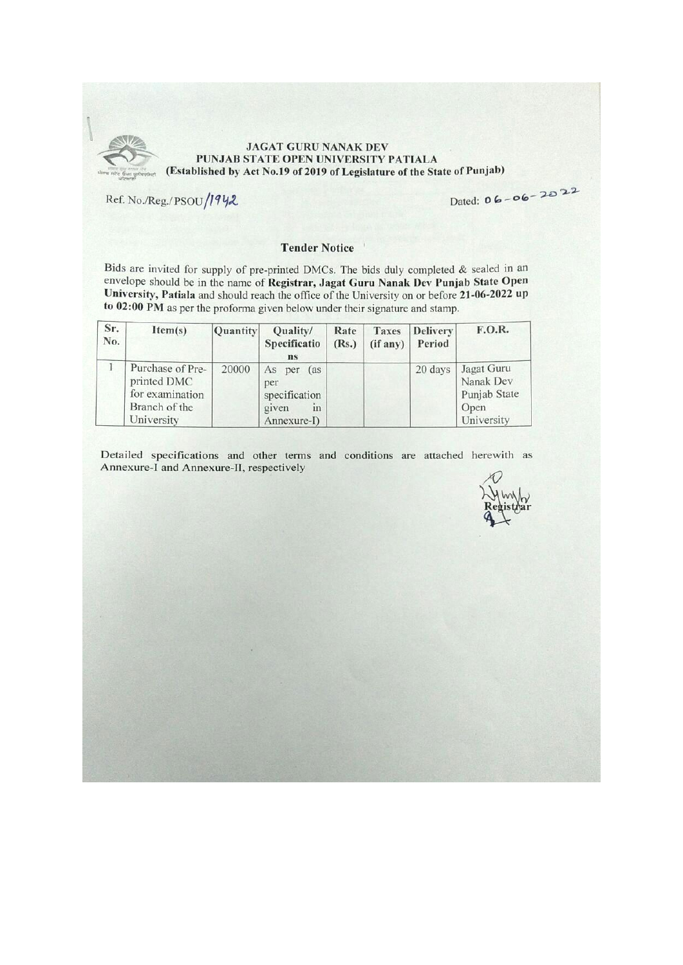

#### **JAGAT GURU NANAK DEV** PUNJAB STATE OPEN UNIVERSITY PATIALA (Established by Act No.19 of 2019 of Legislature of the State of Punjab)

Ref. No./Reg./PSOU/1942

Dated:  $06 - 06 - 2022$ 

#### **Tender Notice**

Bids are invited for supply of pre-printed DMCs. The bids duly completed  $\&$  sealed in an envelope should be in the name of Registrar, Jagat Guru Nanak Dev Punjab State Open University, Patiala and should reach the office of the University on or before 21-06-2022 up to 02:00 PM as per the proforma given below under their signature and stamp.

| Sr.<br>No. | Item(s)                                                                           | Quantity | Quality/<br>Specificatio<br>ns                                        | Rate<br>(Rs.) | Taxes<br>(if any) | <b>Delivery</b><br>Period | F.O.R.                                                        |
|------------|-----------------------------------------------------------------------------------|----------|-----------------------------------------------------------------------|---------------|-------------------|---------------------------|---------------------------------------------------------------|
|            | Purchase of Pre-<br>printed DMC<br>for examination<br>Branch of the<br>University | 20000    | As per<br>(as)<br>per<br>specification<br>given<br>111<br>Annexure-I) |               |                   | 20 days                   | Jagat Guru<br>Nanak Dev<br>Punjab State<br>Open<br>University |

Detailed specifications and other terms and conditions are attached herewith as Annexure-I and Annexure-II, respectively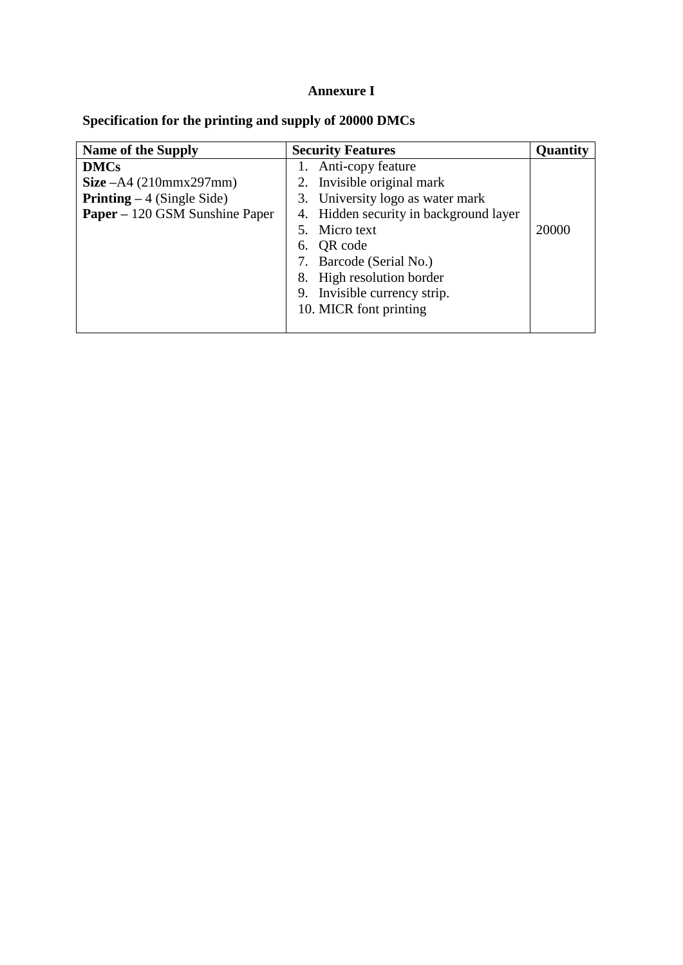# **Annexure I**

| Specification for the printing and supply of 20000 DMCs |  |  |  |  |
|---------------------------------------------------------|--|--|--|--|
|                                                         |  |  |  |  |

| <b>Name of the Supply</b>             | <b>Security Features</b>               | Quantity |
|---------------------------------------|----------------------------------------|----------|
| <b>DMCs</b>                           | 1. Anti-copy feature                   |          |
| <b>Size</b> $-A4(210mmx297mm)$        | Invisible original mark<br>2.          |          |
| <b>Printing</b> $-4$ (Single Side)    | 3. University logo as water mark       |          |
| <b>Paper</b> – 120 GSM Sunshine Paper | 4. Hidden security in background layer |          |
|                                       | 5. Micro text                          | 20000    |
|                                       | QR code<br>6.                          |          |
|                                       | Barcode (Serial No.)                   |          |
|                                       | 8. High resolution border              |          |
|                                       | 9. Invisible currency strip.           |          |
|                                       | 10. MICR font printing                 |          |
|                                       |                                        |          |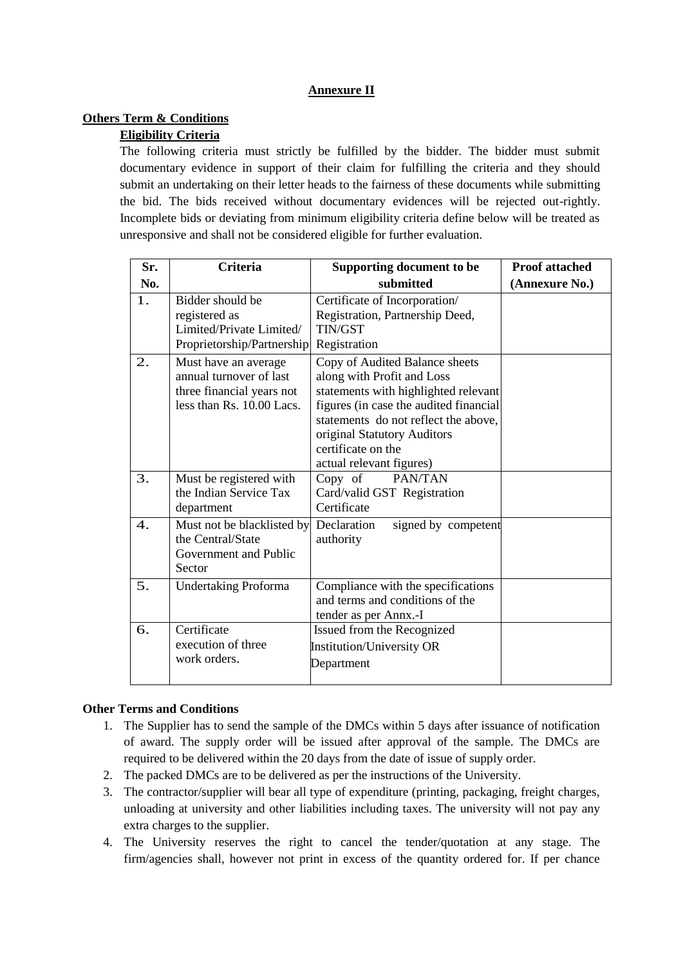## **Annexure II**

#### **Others Term & Conditions**

## **Eligibility Criteria**

The following criteria must strictly be fulfilled by the bidder. The bidder must submit documentary evidence in support of their claim for fulfilling the criteria and they should submit an undertaking on their letter heads to the fairness of these documents while submitting the bid. The bids received without documentary evidences will be rejected out-rightly. Incomplete bids or deviating from minimum eligibility criteria define below will be treated as unresponsive and shall not be considered eligible for further evaluation.

| Sr. | <b>Criteria</b>                                                                                           | Supporting document to be                                                                                                                                                                                                                                               | <b>Proof attached</b> |
|-----|-----------------------------------------------------------------------------------------------------------|-------------------------------------------------------------------------------------------------------------------------------------------------------------------------------------------------------------------------------------------------------------------------|-----------------------|
| No. |                                                                                                           | submitted                                                                                                                                                                                                                                                               | (Annexure No.)        |
| 1.  | Bidder should be<br>registered as<br>Limited/Private Limited/<br>Proprietorship/Partnership               | Certificate of Incorporation/<br>Registration, Partnership Deed,<br><b>TIN/GST</b><br>Registration                                                                                                                                                                      |                       |
| 2.  | Must have an average<br>annual turnover of last<br>three financial years not<br>less than Rs. 10.00 Lacs. | Copy of Audited Balance sheets<br>along with Profit and Loss<br>statements with highlighted relevant<br>figures (in case the audited financial<br>statements do not reflect the above,<br>original Statutory Auditors<br>certificate on the<br>actual relevant figures) |                       |
| 3.  | Must be registered with<br>the Indian Service Tax<br>department                                           | PAN/TAN<br>Copy of<br>Card/valid GST Registration<br>Certificate                                                                                                                                                                                                        |                       |
| 4.  | Must not be blacklisted by<br>the Central/State<br>Government and Public<br>Sector                        | Declaration<br>signed by competent<br>authority                                                                                                                                                                                                                         |                       |
| 5.  | <b>Undertaking Proforma</b>                                                                               | Compliance with the specifications<br>and terms and conditions of the<br>tender as per Annx.-I                                                                                                                                                                          |                       |
| 6.  | Certificate<br>execution of three<br>work orders.                                                         | Issued from the Recognized<br><b>Institution/University OR</b><br>Department                                                                                                                                                                                            |                       |

#### **Other Terms and Conditions**

- 1. The Supplier has to send the sample of the DMCs within 5 days after issuance of notification of award. The supply order will be issued after approval of the sample. The DMCs are required to be delivered within the 20 days from the date of issue of supply order.
- 2. The packed DMCs are to be delivered as per the instructions of the University.
- 3. The contractor/supplier will bear all type of expenditure (printing, packaging, freight charges, unloading at university and other liabilities including taxes. The university will not pay any extra charges to the supplier.
- 4. The University reserves the right to cancel the tender/quotation at any stage. The firm/agencies shall, however not print in excess of the quantity ordered for. If per chance